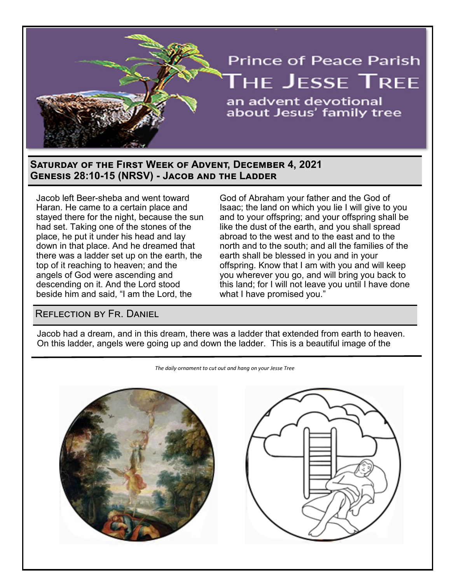

## **Saturday of the First Week of Advent, December 4, 2021 Genesis 28:10-15 (NRSV) - Jacob and the Ladder**

Jacob left Beer-sheba and went toward Haran. He came to a certain place and stayed there for the night, because the sun had set. Taking one of the stones of the place, he put it under his head and lay down in that place. And he dreamed that there was a ladder set up on the earth, the top of it reaching to heaven; and the angels of God were ascending and descending on it. And the Lord stood beside him and said, "I am the Lord, the

God of Abraham your father and the God of Isaac; the land on which you lie I will give to you and to your offspring; and your offspring shall be like the dust of the earth, and you shall spread abroad to the west and to the east and to the north and to the south; and all the families of the earth shall be blessed in you and in your offspring. Know that I am with you and will keep you wherever you go, and will bring you back to this land; for I will not leave you until I have done what I have promised you."

## Reflection by Fr. Daniel

Jacob had a dream, and in this dream, there was a ladder that extended from earth to heaven. On this ladder, angels were going up and down the ladder. This is a beautiful image of the